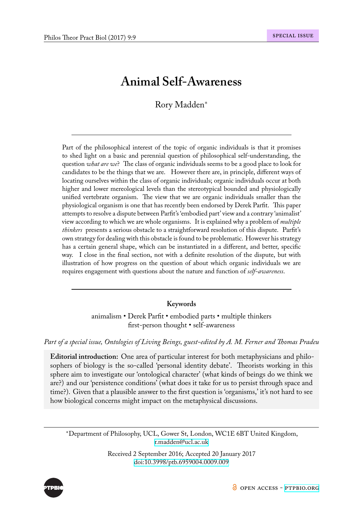# **Animal Self-Awareness**

# Rory Madden*<sup>∗</sup>*

Part of the philosophical interest of the topic of organic individuals is that it promises to shed light on a basic and perennial question of philosophical self-understanding, the question *what are we*? The class of organic individuals seems to be a good place to look for candidates to be the things that we are. However there are, in principle, different ways of locating ourselves within the class of organic individuals; organic individuals occur at both higher and lower mereological levels than the stereotypical bounded and physiologically unified vertebrate organism. The view that we are organic individuals smaller than the physiological organism is one that has recently been endorsed by Derek Parfit. This paper attempts to resolve a dispute between Parfit's 'embodied part' view and a contrary 'animalist' view according to which we are whole organisms. It is explained why a problem of *multiple thinkers* presents a serious obstacle to a straightforward resolution of this dispute. Parfit's own strategy for dealing with this obstacle is found to be problematic. However his strategy has a certain general shape, which can be instantiated in a different, and better, specific way. I close in the final section, not with a definite resolution of the dispute, but with illustration of how progress on the question of about which organic individuals we are requires engagement with questions about the nature and function of *self-awareness*.

### **Keywords**

animalism • Derek Parfit • embodied parts • multiple thinkers first-person thought • self-awareness

# *Part of a special issue, Ontologies of Living Beings, guest-edited by A. M. Ferner and Thomas Pradeu*

**Editorial introduction:** One area of particular interest for both metaphysicians and philosophers of biology is the so-called 'personal identity debate'. Theorists working in this sphere aim to investigate our 'ontological character' (what kinds of beings do we think we are?) and our 'persistence conditions' (what does it take for us to persist through space and time?). Given that a plausible answer to the first question is 'organisms,' it's not hard to see how biological concerns might impact on the metaphysical discussions.

*∗*Department of Philosophy, UCL, Gower St, London, WC1E 6BT United Kingdom, r.madden@ucl.ac.uk

> Received 2 September 2016; Accepted 20 January 2017 doi:10.3998/ptb.6959004.0009.009

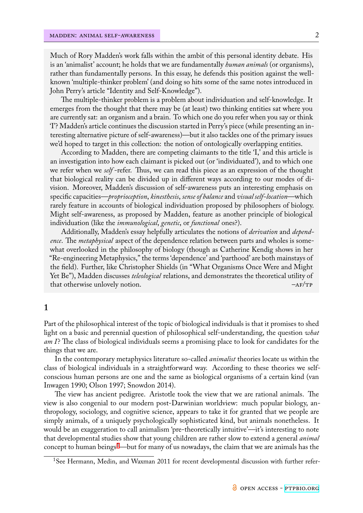Much of Rory Madden's work falls within the ambit of this personal identity debate. His is an 'animalist' account; he holds that we are fundamentally *human animals* (or organisms), rather than fundamentally persons. In this essay, he defends this position against the wellknown 'multiple-thinker problem' (and doing so hits some of the same notes introduced in John Perry's article "Identity and Self-Knowledge").

The multiple-thinker problem is a problem about individuation and self-knowledge. It emerges from the thought that there may be (at least) two thinking entities sat where you are currently sat: an organism and a brain. To which one do you refer when you say or think 'I'? Madden's article continues the discussion started in Perry's piece (while presenting an interesting alternative picture of self-awareness)—but it also tackles one of the primary issues we'd hoped to target in this collection: the notion of ontologically overlapping entities.

According to Madden, there are competing claimants to the title 'I,' and this article is an investigation into how each claimant is picked out (or 'individuated'), and to which one we refer when we *self* -refer. Thus, we can read this piece as an expression of the thought that biological reality can be divided up in different ways according to our modes of division. Moreover, Madden's discussion of self-awareness puts an interesting emphasis on specific capacities—*proprioception*, *kinesthesis*, *sense of balance* and *visual self-location*—which rarely feature in accounts of biological individuation proposed by philosophers of biology. Might self-awareness, as proposed by Madden, feature as another principle of biological individuation (like the *immunological*, *genetic*, or *functional* ones?).

Additionally, Madden's essay helpfully articulates the notions of *derivation* and *dependence*. The *metaphysical* aspect of the dependence relation between parts and wholes is somewhat overlooked in the philosophy of biology (though as Catherine Kendig shows in her "Re-engineering Metaphysics," the terms 'dependence' and 'parthood' are both mainstays of the field). Further, like Christopher Shields (in "What Organisms Once Were and Might Yet Be"), Madden discusses *teleological* relations, and demonstrates the theoretical utility of that otherwise unlovely notion.  $-AF/TP$ 

#### **1**

Part of the philosophical interest of the topic of biological individuals is that it promises to shed light on a basic and perennial question of philosophical self-understanding, the question *what am I*? The class of biological individuals seems a promising place to look for candidates for the things that we are.

In the contemporary metaphysics literature so-called *animalist* theories locate us within the class of biological individuals in a straightforward way. According to these theories we selfconscious human persons are one and the same as biological organisms of a certain kind (van Inwagen 1990; Olson 1997; Snowdon 2014).

The view has ancient pedigree. Aristotle took the view that we are rational animals. The view is also congenial to our modern post-Darwinian worldview: much popular biology, anthropology, sociology, and cognitive science, appears to take it for granted that we people are simply animals, of a uniquely psychologically sophisticated kind, but animals nonetheless. It would be an exaggeration to call animalism 'pre-theoretically intuitive'—it's interesting to note that developmental studies show that young children are rather slow to extend a general *animal* concept to human beings<sup>1</sup>—but for many of us nowadays, the claim that we are animals has the

<sup>&</sup>lt;sup>1</sup>See Hermann, Medin, and Waxman 2011 for recent developmental discussion with further refer-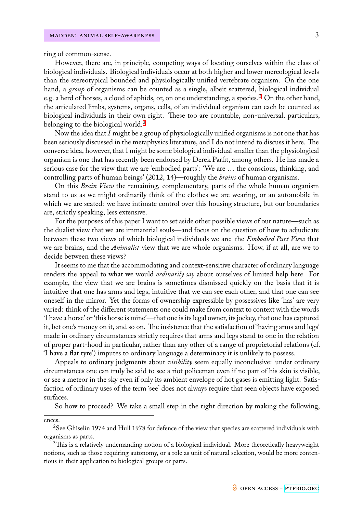ring of common-sense.

However, there are, in principle, competing ways of locating ourselves within the class of biological individuals. Biological individuals occur at both higher and lower mereological levels than the stereotypical bounded and physiologically unified vertebrate organism. On the one hand, a *group* of organisms can be counted as a single, albeit scattered, biological individual e.g. a herd of horses, a cloud of aphids, or, on one understanding, a species.<sup>2</sup> On the other hand, the articulated limbs, systems, organs, cells, of an individual organism can each be counted as biological individuals in their own right. These too are countable, non-universal, particulars, belonging to the biological world.<sup>3</sup>

Now the idea that *I* might be a group of physiologically unified organisms is not one that has been seriously discussed in the metaphysics literature, and I do not intend to discuss it here. The converse idea, however, that I mig[ht](#page-2-0) be some biological individual smaller than the physiological organism is one that has recently been endorsed by Derek Parfit, among others. He has made a serious case for the view that we are 'embodied parts': 'We are … the conscious, thinking, and controlling parts of human beings' (2012, 14)—roughly the *brains* of human organisms.

On this *Brain View* the remaining, complementary, parts of the whole human organism stand to us as we might ordinarily think of the clothes we are wearing, or an automobile in which we are seated: we have intimate control over this housing structure, but our boundaries are, strictly speaking, less extensive.

For the purposes of this paper I want to set aside other possible views of our nature—such as the dualist view that we are immaterial souls—and focus on the question of how to adjudicate between these two views of which biological individuals we are: the *Embodied Part View* that we are brains, and the *Animalist* view that we are whole organisms. How, if at all, are we to decide between these views?

It seems to me that the accommodating and context-sensitive character of ordinary language renders the appeal to what we would *ordinarily say* about ourselves of limited help here. For example, the view that we are brains is sometimes dismissed quickly on the basis that it is intuitive that one has arms and legs, intuitive that we can see each other, and that one can see oneself in the mirror. Yet the forms of ownership expressible by possessives like 'has' are very varied: think of the different statements one could make from context to context with the words 'I have a horse' or 'this horse is mine'—that one is its legal owner, its jockey, that one has captured it, bet one's money on it, and so on. The insistence that the satisfaction of 'having arms and legs' made in ordinary circumstances strictly requires that arms and legs stand to one in the relation of proper part-hood in particular, rather than any other of a range of proprietorial relations (cf. 'I have a flat tyre') imputes to ordinary language a determinacy it is unlikely to possess.

Appeals to ordinary judgments about *visibility* seem equally inconclusive: under ordinary circumstances one can truly be said to see a riot policeman even if no part of his skin is visible, or see a meteor in the sky even if only its ambient envelope of hot gases is emitting light. Satisfaction of ordinary uses of the term 'see' does not always require that seen objects have exposed surfaces.

So how to proceed? We take a small step in the right direction by making the following,

ences.

<sup>2</sup>See Ghiselin 1974 and Hull 1978 for defence of the view that species are scattered individuals with organisms as parts.

<span id="page-2-0"></span><sup>&</sup>lt;sup>3</sup>This is a relatively undemanding notion of a biological individual. More theoretically heavyweight notions, such as those requiring autonomy, or a role as unit of natural selection, would be more contentious in their application to biological groups or parts.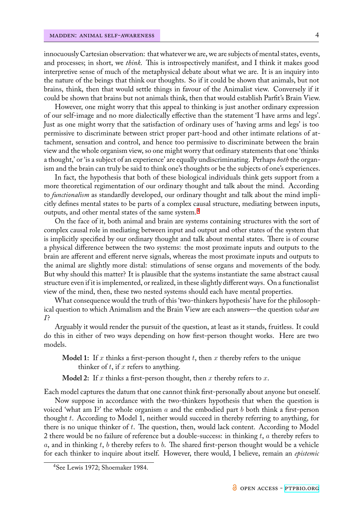innocuously Cartesian observation: that whatever we are, we are subjects of mental states, events, and processes; in short, we *think*. This is introspectively manifest, and I think it makes good interpretive sense of much of the metaphysical debate about what we are. It is an inquiry into the nature of the beings that think our thoughts. So if it could be shown that animals, but not brains, think, then that would settle things in favour of the Animalist view. Conversely if it could be shown that brains but not animals think, then that would establish Parfit's Brain View.

However, one might worry that this appeal to thinking is just another ordinary expression of our self-image and no more dialectically effective than the statement 'I have arms and legs'. Just as one might worry that the satisfaction of ordinary uses of 'having arms and legs' is too permissive to discriminate between strict proper part-hood and other intimate relations of attachment, sensation and control, and hence too permissive to discriminate between the brain view and the whole organism view, so one might worry that ordinary statements that one 'thinks a thought,' or 'is a subject of an experience' are equally undiscriminating. Perhaps *both* the organism and the brain can truly be said to think one's thoughts or be the subjects of one's experiences.

In fact, the hypothesis that both of these biological individuals think gets support from a more theoretical regimentation of our ordinary thought and talk about the mind. According to *functionalism* as standardly developed, our ordinary thought and talk about the mind implicitly defines mental states to be parts of a complex causal structure, mediating between inputs, outputs, and other mental states of the same system.<sup>4</sup>

On the face of it, both animal and brain are systems containing structures with the sort of complex causal role in mediating between input and output and other states of the system that is implicitly specified by our ordinary thought and t[al](#page-3-0)k about mental states. There is of course a physical difference between the two systems: the most proximate inputs and outputs to the brain are afferent and efferent nerve signals, whereas the most proximate inputs and outputs to the animal are slightly more distal: stimulations of sense organs and movements of the body. But why should this matter? It is plausible that the systems instantiate the same abstract causal structure even if it is implemented, or realized, in these slightly different ways. On a functionalist view of the mind, then, these two nested systems should each have mental properties.

What consequence would the truth of this 'two-thinkers hypothesis' have for the philosophical question to which Animalism and the Brain View are each answers—the question *what am I*?

Arguably it would render the pursuit of the question, at least as it stands, fruitless. It could do this in either of two ways depending on how first-person thought works. Here are two models.

**Model 1:** If *x* thinks a first-person thought *t*, then *x* thereby refers to the unique thinker of *t*, if *x* refers to anything.

**Model 2:** If *x* thinks a first-person thought, then *x* thereby refers to *x*.

Each model captures the datum that one cannot think first-personally about anyone but oneself.

Now suppose in accordance with the two-thinkers hypothesis that when the question is voiced 'what am I?' the whole organism *a* and the embodied part *b* both think a first-person thought *t*. According to Model 1, neither would succeed in thereby referring to anything, for there is no unique thinker of *t*. The question, then, would lack content. According to Model 2 there would be no failure of reference but a double-success: in thinking *t*, *a* thereby refers to *a*, and in thinking *t*, *b* thereby refers to *b*. The shared first-person thought would be a vehicle for each thinker to inquire about itself. However, there would, I believe, remain an *epistemic*

<span id="page-3-0"></span><sup>4</sup>See Lewis 1972; Shoemaker 1984.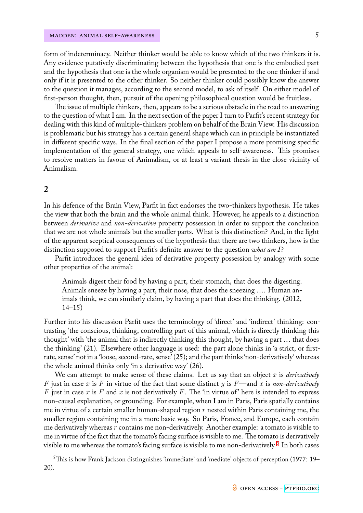form of indeterminacy. Neither thinker would be able to know which of the two thinkers it is. Any evidence putatively discriminating between the hypothesis that one is the embodied part and the hypothesis that one is the whole organism would be presented to the one thinker if and only if it is presented to the other thinker. So neither thinker could possibly know the answer to the question it manages, according to the second model, to ask of itself. On either model of first-person thought, then, pursuit of the opening philosophical question would be fruitless.

The issue of multiple thinkers, then, appears to be a serious obstacle in the road to answering to the question of what I am. In the next section of the paper I turn to Parfit's recent strategy for dealing with this kind of multiple-thinkers problem on behalf of the Brain View. His discussion is problematic but his strategy has a certain general shape which can in principle be instantiated in different specific ways. In the final section of the paper I propose a more promising specific implementation of the general strategy, one which appeals to self-awareness. This promises to resolve matters in favour of Animalism, or at least a variant thesis in the close vicinity of Animalism.

### **2**

In his defence of the Brain View, Parfit in fact endorses the two-thinkers hypothesis. He takes the view that both the brain and the whole animal think. However, he appeals to a distinction between *derivative* and *non-derivative* property possession in order to support the conclusion that we are not whole animals but the smaller parts. What is this distinction? And, in the light of the apparent sceptical consequences of the hypothesis that there are two thinkers, how is the distinction supposed to support Parfit's definite answer to the question *what am I*?

Parfit introduces the general idea of derivative property possession by analogy with some other properties of the animal:

Animals digest their food by having a part, their stomach, that does the digesting. Animals sneeze by having a part, their nose, that does the sneezing …. Human animals think, we can similarly claim, by having a part that does the thinking. (2012, 14–15)

Further into his discussion Parfit uses the terminology of 'direct' and 'indirect' thinking: contrasting 'the conscious, thinking, controlling part of this animal, which is directly thinking this thought' with 'the animal that is indirectly thinking this thought, by having a part … that does the thinking' (21). Elsewhere other language is used: the part alone thinks in 'a strict, or firstrate, sense' not in a 'loose, second-rate, sense' (25); and the part thinks 'non-derivatively' whereas the whole animal thinks only 'in a derivative way' (26).

We can attempt to make sense of these claims. Let us say that an object *x* is *derivatively F* just in case *x* is *F* in virtue of the fact that some distinct *y* is *F*—and *x* is *non-derivatively F* just in case *x* is *F* and *x* is not derivatively *F*. The 'in virtue of' here is intended to express non-causal explanation, or grounding. For example, when I am in Paris, Paris spatially contains me in virtue of a certain smaller human-shaped region *r* nested within Paris containing me, the smaller region containing me in a more basic way. So Paris, France, and Europe, each contain me derivatively whereas *r* contains me non-derivatively. Another example: a tomato is visible to me in virtue of the fact that the tomato's facing surface is visible to me. The tomato is derivatively visible to me whereas the tomato's facing surface is visible to me non-derivatively. $^{\mathrm{5}}$  In both cases

 $5$ This is how Frank Jackson distinguishes 'immediate' and 'mediate' objects of perception (1977: 19– 20).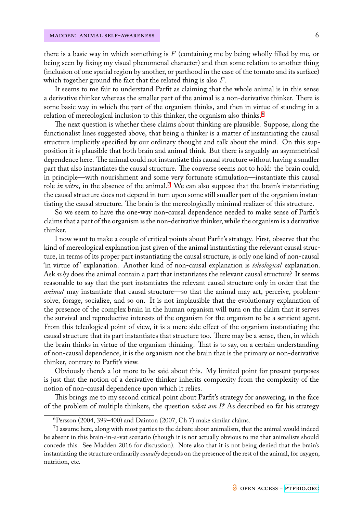there is a basic way in which something is *F* (containing me by being wholly filled by me, or being seen by fixing my visual phenomenal character) and then some relation to another thing (inclusion of one spatial region by another, or parthood in the case of the tomato and its surface) which together ground the fact that the related thing is also *F*.

It seems to me fair to understand Parfit as claiming that the whole animal is in this sense a derivative thinker whereas the smaller part of the animal is a non-derivative thinker. There is some basic way in which the part of the organism thinks, and then in virtue of standing in a relation of mereological inclusion to this thinker, the organism also thinks.<sup>6</sup>

The next question is whether these claims about thinking are plausible. Suppose, along the functionalist lines suggested above, that being a thinker is a matter of instantiating the causal structure implicitly specified by our ordinary thought and talk about the [m](#page-5-0)ind. On this supposition it is plausible that both brain and animal think. But there is arguably an asymmetrical dependence here. The animal could not instantiate this causal structure without having a smaller part that also instantiates the causal structure. The converse seems not to hold: the brain could, in principle—with nourishment and some very fortunate stimulation—instantiate this causal role *in vitro*, in the absence of the animal.<sup>7</sup> We can also suppose that the brain's instantiating the causal structure does not depend in turn upon some still smaller part of the organism instantiating the causal structure. The brain is the mereologically minimal realizer of this structure.

So we seem to have the one-way non[-c](#page-5-1)ausal dependence needed to make sense of Parfit's claims that a part of the organism is the non-derivative thinker, while the organism is a derivative thinker.

I now want to make a couple of critical points about Parfit's strategy. First, observe that the kind of mereological explanation just given of the animal instantiating the relevant causal structure, in terms of its proper part instantiating the causal structure, is only one kind of non-causal 'in virtue of ' explanation. Another kind of non-causal explanation is *teleological* explanation. Ask *why* does the animal contain a part that instantiates the relevant causal structure? It seems reasonable to say that the part instantiates the relevant causal structure only in order that the *animal* may instantiate that causal structure—so that the animal may act, perceive, problemsolve, forage, socialize, and so on. It is not implausible that the evolutionary explanation of the presence of the complex brain in the human organism will turn on the claim that it serves the survival and reproductive interests of the organism for the organism to be a sentient agent. From this teleological point of view, it is a mere side effect of the organism instantiating the causal structure that its part instantiates that structure too. There may be a sense, then, in which the brain thinks in virtue of the organism thinking. That is to say, on a certain understanding of non-causal dependence, it is the organism not the brain that is the primary or non-derivative thinker, contrary to Parfit's view.

Obviously there's a lot more to be said about this. My limited point for present purposes is just that the notion of a derivative thinker inherits complexity from the complexity of the notion of non-causal dependence upon which it relies.

This brings me to my second critical point about Parfit's strategy for answering, in the face of the problem of multiple thinkers, the question *what am I?* As described so far his strategy

 $6$ Persson (2004, 399–400) and Dainton (2007, Ch 7) make similar claims.

<span id="page-5-1"></span><span id="page-5-0"></span> ${\rm ^7I}$  assume here, along with most parties to the debate about animalism, that the animal would indeed be absent in this brain-in-a-vat scenario (though it is not actually obvious to me that animalists should concede this. See Madden 2016 for discussion). Note also that it is not being denied that the brain's instantiating the structure ordinarily *causally* depends on the presence of the rest of the animal, for oxygen, nutrition, etc.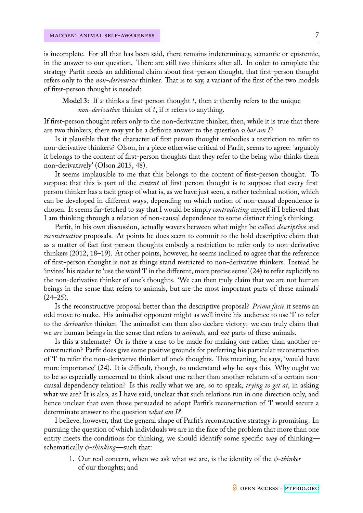is incomplete. For all that has been said, there remains indeterminacy, semantic or epistemic, in the answer to our question. There are still two thinkers after all. In order to complete the strategy Parfit needs an additional claim about first-person thought, that first-person thought refers only to the *non-derivative* thinker. That is to say, a variant of the first of the two models of first-person thought is needed:

**Model 3:** If *x* thinks a first-person thought *t*, then *x* thereby refers to the unique *non-derivative* thinker of *t*, if *x* refers to anything.

If first-person thought refers only to the non-derivative thinker, then, while it is true that there are two thinkers, there may yet be a definite answer to the question *what am I*?

Is it plausible that the character of first person thought embodies a restriction to refer to non-derivative thinkers? Olson, in a piece otherwise critical of Parfit, seems to agree: 'arguably it belongs to the content of first-person thoughts that they refer to the being who thinks them non-derivatively' (Olson 2015, 48).

It seems implausible to me that this belongs to the content of first-person thought. To suppose that this is part of the *content* of first-person thought is to suppose that every firstperson thinker has a tacit grasp of what is, as we have just seen, a rather technical notion, which can be developed in different ways, depending on which notion of non-causal dependence is chosen. It seems far-fetched to say that I would be simply *contradicting* myself if I believed that I am thinking through a relation of non-causal dependence to some distinct thing's thinking.

Parfit, in his own discussion, actually wavers between what might be called *descriptive* and *reconstructive* proposals. At points he does seem to commit to the bold descriptive claim that as a matter of fact first-person thoughts embody a restriction to refer only to non-derivative thinkers (2012, 18–19). At other points, however, he seems inclined to agree that the reference of first-person thought is not as things stand restricted to non-derivative thinkers. Instead he 'invites' his reader to 'use the word 'I' in the different, more precise sense' (24) to refer explicitly to the non-derivative thinker of one's thoughts. 'We can then truly claim that we are not human beings in the sense that refers to animals, but are the most important parts of these animals'  $(24-25)$ .

Is the reconstructive proposal better than the descriptive proposal? *Prima facie* it seems an odd move to make. His animalist opponent might as well invite his audience to use 'I' to refer to the *derivative* thinker. The animalist can then also declare victory: we can truly claim that we *are* human beings in the sense that refers to *animals*, and *not* parts of these animals.

Is this a stalemate? Or is there a case to be made for making one rather than another reconstruction? Parfit does give some positive grounds for preferring his particular reconstruction of 'I' to refer the non-derivative thinker of one's thoughts. This meaning, he says, 'would have more importance' (24). It is difficult, though, to understand why he says this. Why ought we to be so especially concerned to think about one rather than another relatum of a certain noncausal dependency relation? Is this really what we are, so to speak, *trying to get at*, in asking what we are? It is also, as I have said, unclear that such relations run in one direction only, and hence unclear that even those persuaded to adopt Parfit's reconstruction of 'I' would secure a determinate answer to the question *what am I?*

I believe, however, that the general shape of Parfit's reconstructive strategy is promising. In pursuing the question of which individuals we are in the face of the problem that more than one entity meets the conditions for thinking, we should identify some specific *way* of thinking schematically *ϕ-thinking*—such that:

1. Our real concern, when we ask what we are, is the identity of the *ϕ-thinker* of our thoughts; and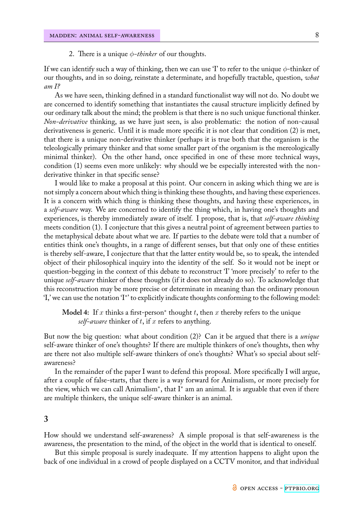#### 2. There is a unique *ϕ-thinker* of our thoughts.

If we can identify such a way of thinking, then we can use 'I' to refer to the unique *ϕ*-thinker of our thoughts, and in so doing, reinstate a determinate, and hopefully tractable, question, *what am I?*

As we have seen, thinking defined in a standard functionalist way will not do. No doubt we are concerned to identify something that instantiates the causal structure implicitly defined by our ordinary talk about the mind; the problem is that there is no such unique functional thinker. *Non-derivative* thinking, as we have just seen, is also problematic: the notion of non-causal derivativeness is generic. Until it is made more specific it is not clear that condition (2) is met, that there is a unique non-derivative thinker (perhaps it is true both that the organism is the teleologically primary thinker and that some smaller part of the organism is the mereologically minimal thinker). On the other hand, once specified in one of these more technical ways, condition (1) seems even more unlikely: why should we be especially interested with the nonderivative thinker in that specific sense?

I would like to make a proposal at this point. Our concern in asking which thing we are is not simply a concern about which thing is thinking these thoughts, and having these experiences. It is a concern with which thing is thinking these thoughts, and having these experiences, in a *self-aware* way. We are concerned to identify the thing which, in having one's thoughts and experiences, is thereby immediately aware of itself. I propose, that is, that *self-aware thinking* meets condition (1). I conjecture that this gives a neutral point of agreement between parties to the metaphysical debate about what we are. If parties to the debate were told that a number of entities think one's thoughts, in a range of different senses, but that only one of these entities is thereby self-aware, I conjecture that that the latter entity would be, so to speak, the intended object of their philosophical inquiry into the identity of the self. So it would not be inept or question-begging in the context of this debate to reconstruct 'I' 'more precisely' to refer to the unique *self-aware* thinker of these thoughts (if it does not already do so). To acknowledge that this reconstruction may be more precise or determinate in meaning than the ordinary pronoun 'I,' we can use the notation 'I*<sup>∗</sup>* ' to explicitly indicate thoughts conforming to the following model:

# **Model 4:** If *x* thinks a first-person*<sup>∗</sup>* thought *t*, then *x* thereby refers to the unique *self-aware* thinker of *t*, if *x* refers to anything.

But now the big question: what about condition (2)? Can it be argued that there is a *unique* self-aware thinker of one's thoughts? If there are multiple thinkers of one's thoughts, then why are there not also multiple self-aware thinkers of one's thoughts? What's so special about selfawareness?

In the remainder of the paper I want to defend this proposal. More specifically I will argue, after a couple of false-starts, that there is a way forward for Animalism, or more precisely for the view, which we can call Animalism*<sup>∗</sup>* , that I*<sup>∗</sup>* am an animal. It is arguable that even if there are multiple thinkers, the unique self-aware thinker is an animal.

#### **3**

How should we understand self-awareness? A simple proposal is that self-awareness is the awareness, the presentation to the mind, of the object in the world that is identical to oneself.

But this simple proposal is surely inadequate. If my attention happens to alight upon the back of one individual in a crowd of people displayed on a CCTV monitor, and that individual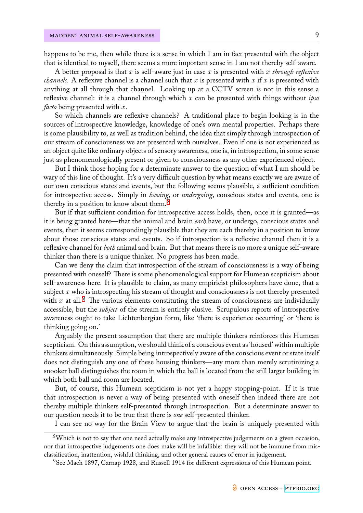happens to be me, then while there is a sense in which I am in fact presented with the object that is identical to myself, there seems a more important sense in I am not thereby self-aware.

A better proposal is that *x* is self-aware just in case *x* is presented with *x through reflexive channels*. A reflexive channel is a channel such that *x* is presented with *x* if *x* is presented with anything at all through that channel. Looking up at a CCTV screen is not in this sense a reflexive channel: it is a channel through which *x* can be presented with things without *ipso facto* being presented with *x*.

So which channels are reflexive channels? A traditional place to begin looking is in the sources of introspective knowledge, knowledge of one's own mental properties. Perhaps there is some plausibility to, as well as tradition behind, the idea that simply through introspection of our stream of consciousness we are presented with ourselves. Even if one is not experienced as an object quite like ordinary objects of sensory awareness, one is, in introspection, in some sense just as phenomenologically present or given to consciousness as any other experienced object.

But I think those hoping for a determinate answer to the question of what I am should be wary of this line of thought. It's a very difficult question by what means exactly we are aware of our own conscious states and events, but the following seems plausible, a sufficient condition for introspective access. Simply in *having*, or *undergoing*, conscious states and events, one is thereby in a position to know about them.<sup>8</sup>

But if that sufficient condition for introspective access holds, then, once it is granted—as it is being granted here—that the animal and brain *each* have, or undergo, conscious states and events, then it seems correspondingly plau[si](#page-8-0)ble that they are each thereby in a position to know about those conscious states and events. So if introspection is a reflexive channel then it is a reflexive channel for *both* animal and brain. But that means there is no more a unique self-aware thinker than there is a unique thinker. No progress has been made.

Can we deny the claim that introspection of the stream of consciousness is a way of being presented with oneself? There is some phenomenological support for Humean scepticism about self-awareness here. It is plausible to claim, as many empiricist philosophers have done, that a subject *x* who is introspecting his stream of thought and consciousness is not thereby presented with  $x$  at all.<sup>9</sup> The various elements constituting the stream of consciousness are individually accessible, but the *subject* of the stream is entirely elusive. Scrupulous reports of introspective awareness ought to take Lichtenbergian form, like 'there is experience occurring' or 'there is thinking goi[ng](#page-8-1) on.'

Arguably the present assumption that there are multiple thinkers reinforces this Humean scepticism. On this assumption, we should think of a conscious event as 'housed' within multiple thinkers simultaneously. Simple being introspectively aware of the conscious event or state itself does not distinguish any one of these housing thinkers—any more than merely scrutinizing a snooker ball distinguishes the room in which the ball is located from the still larger building in which both ball and room are located.

But, of course, this Humean scepticism is not yet a happy stopping-point. If it is true that introspection is never a way of being presented with oneself then indeed there are not thereby multiple thinkers self-presented through introspection. But a determinate answer to our question needs it to be true that there is *one* self-presented thinker.

I can see no way for the Brain View to argue that the brain is uniquely presented with

<sup>&</sup>lt;sup>8</sup>Which is not to say that one need actually make any introspective judgements on a given occasion, nor that introspective judgements one does make will be infallible: they will not be immune from misclassification, inattention, wishful thinking, and other general causes of error in judgement.

<span id="page-8-1"></span><span id="page-8-0"></span><sup>9</sup>See Mach 1897, Carnap 1928, and Russell 1914 for different expressions of this Humean point.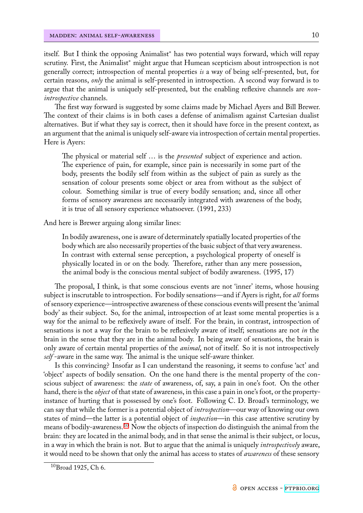itself. But I think the opposing Animalist*<sup>∗</sup>* has two potential ways forward, which will repay scrutiny. First, the Animalist*<sup>∗</sup>* might argue that Humean scepticism about introspection is not generally correct; introspection of mental properties *is* a way of being self-presented, but, for certain reasons, *only* the animal is self-presented in introspection. A second way forward is to argue that the animal is uniquely self-presented, but the enabling reflexive channels are *nonintrospective* channels.

The first way forward is suggested by some claims made by Michael Ayers and Bill Brewer. The context of their claims is in both cases a defense of animalism against Cartesian dualist alternatives. But if what they say is correct, then it should have force in the present context, as an argument that the animal is uniquely self-aware via introspection of certain mental properties. Here is Ayers:

The physical or material self … is the *presented* subject of experience and action. The experience of pain, for example, since pain is necessarily in some part of the body, presents the bodily self from within as the subject of pain as surely as the sensation of colour presents some object or area from without as the subject of colour. Something similar is true of every bodily sensation; and, since all other forms of sensory awareness are necessarily integrated with awareness of the body, it is true of all sensory experience whatsoever. (1991, 233)

And here is Brewer arguing along similar lines:

In bodily awareness, one is aware of determinately spatially located properties of the body which are also necessarily properties of the basic subject of that very awareness. In contrast with external sense perception, a psychological property of oneself is physically located in or on the body. Therefore, rather than any mere possession, the animal body is the conscious mental subject of bodily awareness. (1995, 17)

The proposal, I think, is that some conscious events are not 'inner' items, whose housing subject is inscrutable to introspection. For bodily sensations—and if Ayers is right, for *all* forms of sensory experience—introspective awareness of these conscious events will present the 'animal body' as their subject. So, for the animal, introspection of at least some mental properties is a way for the animal to be reflexively aware of itself. For the brain, in contrast, introspection of sensations is not a way for the brain to be reflexively aware of itself; sensations are not *in* the brain in the sense that they are in the animal body. In being aware of sensations, the brain is only aware of certain mental properties of the *animal*, not of itself. So it is not introspectively *self* -aware in the same way. The animal is the unique self-aware thinker.

Is this convincing? Insofar as I can understand the reasoning, it seems to confuse 'act' and 'object' aspects of bodily sensation. On the one hand there is the mental property of the conscious subject of awareness: the *state* of awareness, of, say, a pain in one's foot. On the other hand, there is the *object* of that state of awareness, in this case a pain in one's foot, or the propertyinstance of hurting that is possessed by one's foot. Following C. D. Broad's terminology, we can say that while the former is a potential object of *introspection*—our way of knowing our own states of mind—the latter is a potential object of *inspection*—in this case attentive scrutiny by means of bodily-awareness.<sup>10</sup> Now the objects of inspection do distinguish the animal from the brain: they are located in the animal body, and in that sense the animal is their subject, or locus, in a way in which the brain is not. But to argue that the animal is uniquely *introspectively* aware, it would need to be shownt[ha](#page-9-0)t only the animal has access to states of *awareness* of these sensory

<span id="page-9-0"></span><sup>10</sup>Broad 1925, Ch 6.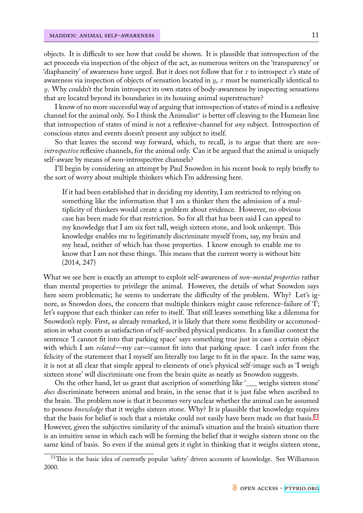objects. It is difficult to see how that could be shown. It is plausible that introspection of the act proceeds via inspection of the object of the act, as numerous writers on the 'transparency' or 'diaphaneity' of awareness have urged. But it does not follow that for *x* to introspect *x*'s state of awareness via inspection of objects of sensation located in *y*, *x* must be numerically identical to *y*. Why couldn't the brain introspect its own states of body-awareness by inspecting sensations that are located beyond its boundaries in its housing animal superstructure?

I know of no more successful way of arguing that introspection of states of mind is a reflexive channel for the animal only. So I think the Animalist*<sup>∗</sup>* is better off cleaving to the Humean line that introspection of states of mind is not a reflexive-channel for *any* subject. Introspection of conscious states and events doesn't present any subject to itself.

So that leaves the second way forward, which, to recall, is to argue that there are *nonintrospective* reflexive channels, for the animal only. Can it be argued that the animal is uniquely self-aware by means of non-introspective channels?

I'll begin by considering an attempt by Paul Snowdon in his recent book to reply briefly to the sort of worry about multiple thinkers which I'm addressing here.

If it had been established that in deciding my identity, I am restricted to relying on something like the information that I am a thinker then the admission of a multiplicity of thinkers would create a problem about evidence. However, no obvious case has been made for that restriction. So for all that has been said I can appeal to my knowledge that I am six feet tall, weigh sixteen stone, and look unkempt. This knowledge enables me to legitimately discriminate myself from, say, my brain and my head, neither of which has those properties. I know enough to enable me to know that I am not these things. This means that the current worry is without bite (2014, 247)

What we see here is exactly an attempt to exploit self-awareness of *non-mental properties* rather than mental properties to privilege the animal. However, the details of what Snowdon says here seem problematic; he seems to underrate the difficulty of the problem. Why? Let's ignore, as Snowdon does, the concern that multiple thinkers might cause reference-failure of 'I'; let's suppose that each thinker can refer to itself. That still leaves something like a dilemma for Snowdon's reply. First, as already remarked, it is likely that there some flexibility or accommodation in what counts as satisfaction of self-ascribed physical predicates. In a familiar context the sentence 'I cannot fit into that parking space' says something true just in case a certain object with which I am *related*—my car—cannot fit into that parking space. I can't infer from the felicity of the statement that I myself am literally too large to fit in the space. In the same way, it is not at all clear that simple appeal to elements of one's physical self-image such as 'I weigh sixteen stone' will discriminate one from the brain quite as neatly as Snowdon suggests.

On the other hand, let us grant that ascription of something like '\_\_\_ weighs sixteen stone' *does* discriminate between animal and brain, in the sense that it is just false when ascribed to the brain. The problem now is that it becomes very unclear whether the animal can be assumed to possess *knowledge* that it weighs sixteen stone. Why? It is plausible that knowledge requires that the basis for belief is such that a mistake could not easily have been made on that basis.<sup>11</sup> However, given the subjective similarity of the animal's situation and the brain's situation there is an intuitive sense in which each will be forming the belief that it weighs sixteen stone on the same kind of basis. So even if the animal gets it right in thinking that it weighs sixteen sto[ne,](#page-10-0)

<span id="page-10-0"></span><sup>&</sup>lt;sup>11</sup>This is the basic idea of currently popular 'safety' driven accounts of knowledge. See Williamson 2000.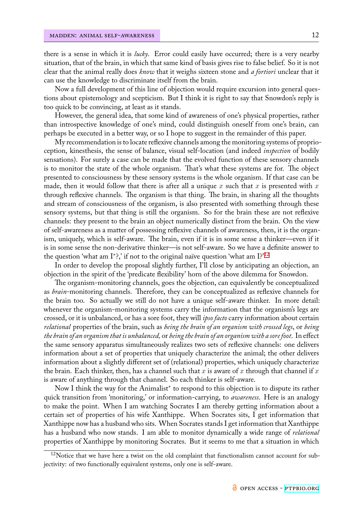there is a sense in which it is *lucky*. Error could easily have occurred; there is a very nearby situation, that of the brain, in which that same kind of basis gives rise to false belief. So it is not clear that the animal really does *know* that it weighs sixteen stone and *a fortiori* unclear that it can use the knowledge to discriminate itself from the brain.

Now a full development of this line of objection would require excursion into general questions about epistemology and scepticism. But I think it is right to say that Snowdon's reply is too quick to be convincing, at least as it stands.

However, the general idea, that some kind of awareness of one's physical properties, rather than introspective knowledge of one's mind, could distinguish oneself from one's brain, can perhaps be executed in a better way, or so I hope to suggest in the remainder of this paper.

My recommendation is to locate reflexive channels among the monitoring systems of proprioception, kinesthesis, the sense of balance, visual self-location (and indeed *inspection* of bodily sensations). For surely a case can be made that the evolved function of these sensory channels is to monitor the state of the whole organism. That's what these systems are for. The object presented to consciousness by these sensory systems is the whole organism. If that case can be made, then it would follow that there is after all a unique  $x$  such that  $x$  is presented with  $x$ through reflexive channels. The organism is that thing. The brain, in sharing all the thoughts and stream of consciousness of the organism, is also presented with something through these sensory systems, but that thing is still the organism. So for the brain these are not reflexive channels: they present to the brain an object numerically distinct from the brain. On the view of self-awareness as a matter of possessing reflexive channels of awareness, then, it is the organism, uniquely, which is self-aware. The brain, even if it is in some sense a thinker—even if it is in some sense the non-derivative thinker—is not self-aware. So we have a definite answer to the question 'what am I*<sup>∗</sup>* ?,' if not to the original naïve question 'what am I?'<sup>12</sup>

In order to develop the proposal slightly further, I'll close by anticipating an objection, an objection in the spirit of the 'predicate flexibility' horn of the above dilemma for Snowdon.

The organism-monitoring channels, goes the objection, can equivalentl[y b](#page-11-0)e conceptualized as *brain*-monitoring channels. Therefore, they can be conceptualized as reflexive channels for the brain too. So actually we still do not have a unique self-aware thinker. In more detail: whenever the organism-monitoring systems carry the information that the organism's legs are crossed, or it is unbalanced, or has a sore foot, they will *ipso facto* carry information about certain *relational* properties of the brain, such as *being the brain of an organism with crossed legs*, or *being the brain of an organism that is unbalanced,* or *being the brain of an organism with a sore foot*. In effect the same sensory apparatus simultaneously realizes two sets of reflexive channels: one delivers information about a set of properties that uniquely characterize the animal; the other delivers information about a slightly different set of (relational) properties, which uniquely characterize the brain. Each thinker, then, has a channel such that *x* is aware of *x* through that channel if *x* is aware of anything through that channel. So each thinker is self-aware.

Now I think the way for the Animalist*<sup>∗</sup>* to respond to this objection is to dispute its rather quick transition from 'monitoring,' or information-carrying, to *awareness*. Here is an analogy to make the point. When I am watching Socrates I am thereby getting information about a certain set of properties of his wife Xanthippe. When Socrates sits, I get information that Xanthippe now has a husband who sits. When Socrates stands I get information that Xanthippe has a husband who now stands. I am able to monitor dynamically a wide range of *relational* properties of Xanthippe by monitoring Socrates. But it seems to me that a situation in which

<span id="page-11-0"></span><sup>&</sup>lt;sup>12</sup>Notice that we have here a twist on the old complaint that functionalism cannot account for subjectivity: of two functionally equivalent systems, only one is self-aware.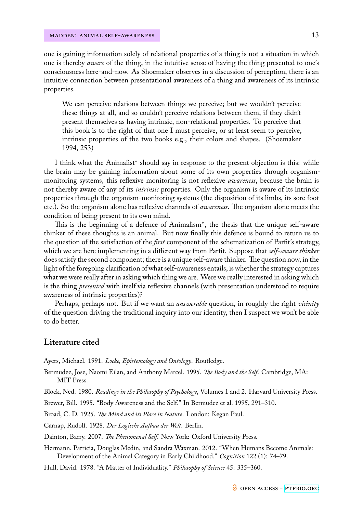one is gaining information solely of relational properties of a thing is not a situation in which one is thereby *aware* of the thing, in the intuitive sense of having the thing presented to one's consciousness here-and-now. As Shoemaker observes in a discussion of perception, there is an intuitive connection between presentational awareness of a thing and awareness of its intrinsic properties.

We can perceive relations between things we perceive; but we wouldn't perceive these things at all, and so couldn't perceive relations between them, if they didn't present themselves as having intrinsic, non-relational properties. To perceive that this book is to the right of that one I must perceive, or at least seem to perceive, intrinsic properties of the two books e.g., their colors and shapes. (Shoemaker 1994, 253)

I think what the Animalist*<sup>∗</sup>* should say in response to the present objection is this: while the brain may be gaining information about some of its own properties through organismmonitoring systems, this reflexive monitoring is not reflexive *awareness*, because the brain is not thereby aware of any of its *intrinsic* properties. Only the organism is aware of its intrinsic properties through the organism-monitoring systems (the disposition of its limbs, its sore foot etc.). So the organism alone has reflexive channels of *awareness*. The organism alone meets the condition of being present to its own mind.

This is the beginning of a defence of Animalism*<sup>∗</sup>* , the thesis that the unique self-aware thinker of these thoughts is an animal. But now finally this defence is bound to return us to the question of the satisfaction of the *first* component of the schematization of Parfit's strategy, which we are here implementing in a different way from Parfit. Suppose that *self-aware thinker* does satisfy the second component; there is a unique self-aware thinker. The question now, in the light of the foregoing clarification of what self-awareness entails, is whether the strategy captures what we were really after in asking which thing we are. Were we really interested in asking which is the thing *presented* with itself via reflexive channels (with presentation understood to require awareness of intrinsic properties)?

Perhaps, perhaps not. But if we want an *answerable* question, in roughly the right *vicinity* of the question driving the traditional inquiry into our identity, then I suspect we won't be able to do better.

### **Literature cited**

Ayers, Michael. 1991. *Locke, Epistemology and Ontology*. Routledge.

Bermudez, Jose, Naomi Eilan, and Anthony Marcel. 1995. *The Body and the Self*. Cambridge, MA: MIT Press.

Block, Ned. 1980. *Readings in the Philosophy of Psychology*, Volumes 1 and 2. Harvard University Press.

Brewer, Bill. 1995. "Body Awareness and the Self." In Bermudez et al. 1995, 291-310.

Broad, C. D. 1925. *The Mind and its Place in Nature*. London: Kegan Paul.

Carnap, Rudolf. 1928. *Der Logische Aufbau der Welt*. Berlin.

Dainton, Barry. 2007. *The Phenomenal Self*. New York: Oxford University Press.

Hermann, Patricia, Douglas Medin, and Sandra Waxman. 2012. "When Humans Become Animals: Development of the Animal Category in Early Childhood." *Cognition* 122 (1): 74–79.

Hull, David. 1978. "A Matter of Individuality." *Philosophy of Science* 45: 335–360.